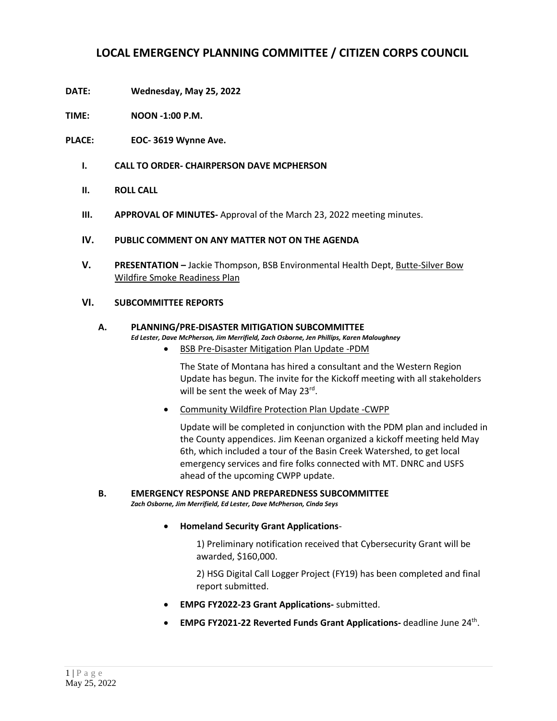# **LOCAL EMERGENCY PLANNING COMMITTEE / CITIZEN CORPS COUNCIL**

- **DATE: Wednesday, May 25, 2022**
- **TIME: NOON -1:00 P.M.**
- **PLACE: EOC- 3619 Wynne Ave.**
	- **I. CALL TO ORDER- CHAIRPERSON DAVE MCPHERSON**
	- **II. ROLL CALL**
	- **III. APPROVAL OF MINUTES-** Approval of the March 23, 2022 meeting minutes.

### **IV. PUBLIC COMMENT ON ANY MATTER NOT ON THE AGENDA**

**V. PRESENTATION –** Jackie Thompson, BSB Environmental Health Dept, Butte-Silver Bow Wildfire Smoke Readiness Plan

### **VI. SUBCOMMITTEE REPORTS**

## **A. PLANNING/PRE-DISASTER MITIGATION SUBCOMMITTEE**

*Ed Lester, Dave McPherson, Jim Merrifield, Zach Osborne, Jen Phillips, Karen Maloughney*

• BSB Pre-Disaster Mitigation Plan Update -PDM

The State of Montana has hired a consultant and the Western Region Update has begun. The invite for the Kickoff meeting with all stakeholders will be sent the week of May 23<sup>rd</sup>.

• Community Wildfire Protection Plan Update -CWPP

Update will be completed in conjunction with the PDM plan and included in the County appendices. Jim Keenan organized a kickoff meeting held May 6th, which included a tour of the Basin Creek Watershed, to get local emergency services and fire folks connected with MT. DNRC and USFS ahead of the upcoming CWPP update.

#### **B. EMERGENCY RESPONSE AND PREPAREDNESS SUBCOMMITTEE** *Zach Osborne, Jim Merrifield, Ed Lester, Dave McPherson, Cinda Seys*

• **Homeland Security Grant Applications**-

1) Preliminary notification received that Cybersecurity Grant will be awarded, \$160,000.

2) HSG Digital Call Logger Project (FY19) has been completed and final report submitted.

- **EMPG FY2022-23 Grant Applications-** submitted.
- **EMPG FY2021-22 Reverted Funds Grant Applications-** deadline June 24<sup>th</sup>.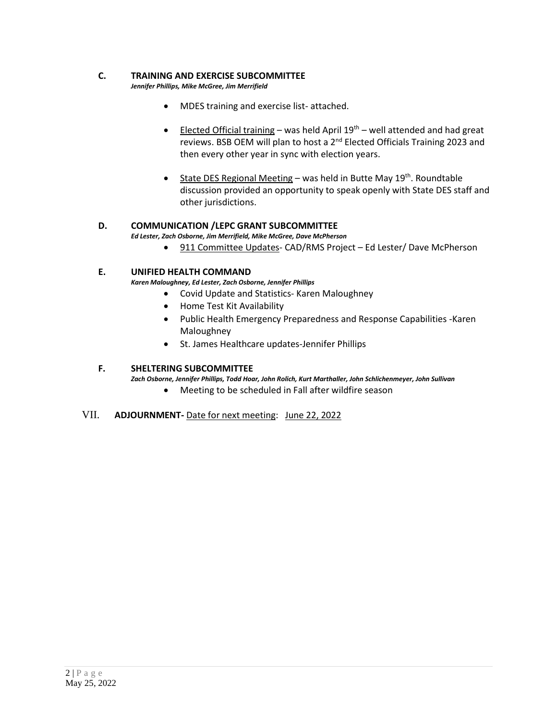#### **C. TRAINING AND EXERCISE SUBCOMMITTEE**

*Jennifer Phillips, Mike McGree, Jim Merrifield*

- MDES training and exercise list- attached.
- Elected Official training was held April  $19<sup>th</sup>$  well attended and had great reviews. BSB OEM will plan to host a 2<sup>nd</sup> Elected Officials Training 2023 and then every other year in sync with election years.
- State DES Regional Meeting was held in Butte May 19<sup>th</sup>. Roundtable discussion provided an opportunity to speak openly with State DES staff and other jurisdictions.

### **D. COMMUNICATION /LEPC GRANT SUBCOMMITTEE**

*Ed Lester, Zach Osborne, Jim Merrifield, Mike McGree, Dave McPherson*

• 911 Committee Updates- CAD/RMS Project – Ed Lester/ Dave McPherson

#### **E. UNIFIED HEALTH COMMAND**

*Karen Maloughney, Ed Lester, Zach Osborne, Jennifer Phillips*

- Covid Update and Statistics- Karen Maloughney
- Home Test Kit Availability
- Public Health Emergency Preparedness and Response Capabilities -Karen Maloughney
- St. James Healthcare updates-Jennifer Phillips

#### **F. SHELTERING SUBCOMMITTEE**

*Zach Osborne, Jennifer Phillips, Todd Hoar, John Rolich, Kurt Marthaller, John Schlichenmeyer, John Sullivan* 

• Meeting to be scheduled in Fall after wildfire season

#### VII. **ADJOURNMENT-** Date for next meeting: June 22, 2022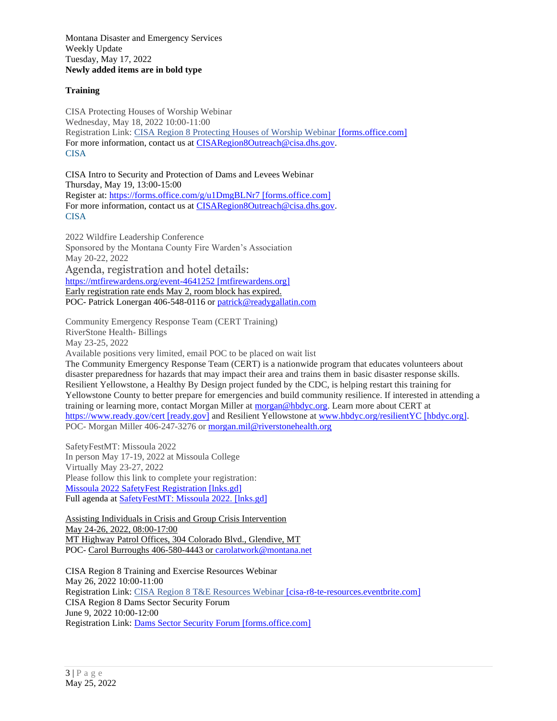Montana Disaster and Emergency Services Weekly Update Tuesday, May 17, 2022 **Newly added items are in bold type**

#### **Training**

CISA Protecting Houses of Worship Webinar Wednesday, May 18, 2022 10:00-11:00 Registration Link[: CISA Region 8 Protecting Houses of Worship Webinar](https://urldefense.com/v3/__https:/forms.office.com/g/T5rdkwZk9S__;!!GaaboA!_QwSamTTl_loufmTuwHKJnHDFV81Iq3qYgJEJZqPxOsULPk6CrmbIGbaiIUAtU4$) [forms.office.com] For more information, contact us at [CISARegion8Outreach@cisa.dhs.gov.](mailto:CISARegion8Outreach@cisa.dhs.gov) CISA

CISA Intro to Security and Protection of Dams and Levees Webinar Thursday, May 19, 13:00-15:00 Register at: [https://forms.office.com/g/u1DmgBLNr7 \[forms.office.com\]](https://urldefense.com/v3/__https:/forms.office.com/g/u1DmgBLNr7__;!!GaaboA!_QwSamTTl_loufmTuwHKJnHDFV81Iq3qYgJEJZqPxOsULPk6CrmbIGba48hzhmA$) For more information, contact us at [CISARegion8Outreach@cisa.dhs.gov.](mailto:CISARegion8Outreach@cisa.dhs.gov) CISA

2022 Wildfire Leadership Conference Sponsored by the Montana County Fire Warden's Association May 20-22, 2022 Agenda, registration and hotel details: [https://mtfirewardens.org/event-4641252 \[mtfirewardens.org\]](https://urldefense.com/v3/__https:/mtfirewardens.org/event-4641252__;!!GaaboA!6lt1YIf2soFdsYXbq7eUTT_iTR_4Llndn7qOaV_ca0Sj_4P4t0O3_uQDbDgR7WA$) Early registration rate ends May 2, room block has expired. POC- Patrick Lonergan 406-548-0116 or [patrick@readygallatin.com](mailto:patrick@readygallatin.com)

Community Emergency Response Team (CERT Training) RiverStone Health- Billings May 23-25, 2022 Available positions very limited, email POC to be placed on wait list The Community Emergency Response Team (CERT) is a nationwide program that educates volunteers about disaster preparedness for hazards that may impact their area and trains them in basic disaster response skills. Resilient Yellowstone, a Healthy By Design project funded by the CDC, is helping restart this training for Yellowstone County to better prepare for emergencies and build community resilience. If interested in attending a training or learning more, contact Morgan Miller at [morgan@hbdyc.org.](mailto:morgan@hbdyc.org) Learn more about CERT at [https://www.ready.gov/cert \[ready.gov\]](https://urldefense.com/v3/__https:/www.ready.gov/cert__;!!GaaboA!5Gz0pWwUmK3lejbZq8ulGqbmf1Y-cDgfEMfBtDtKsPudteTYlDEFKgesyUFLOkU$) and Resilient Yellowstone at [www.hbdyc.org/resilientYC \[hbdyc.org\].](https://urldefense.com/v3/__http:/www.hbdyc.org/resilientYC__;!!GaaboA!5Gz0pWwUmK3lejbZq8ulGqbmf1Y-cDgfEMfBtDtKsPudteTYlDEFKgesGxf0nFM$) POC- Morgan Miller 406-247-3276 or [morgan.mil@riverstonehealth.org](mailto:morgan.mil@riverstonehealth.org)

SafetyFestMT: Missoula 2022 In person May 17-19, 2022 at Missoula College Virtually May 23-27, 2022 Please follow this link to complete your registration: [Missoula 2022 SafetyFest Registration \[lnks.gd\]](https://urldefense.com/v3/__https:/lnks.gd/l/eyJhbGciOiJIUzI1NiJ9.eyJidWxsZXRpbl9saW5rX2lkIjoxMDAsInVyaSI6ImJwMjpjbGljayIsImJ1bGxldGluX2lkIjoiMjAyMjA0MDUuNTU5NzA5ODEiLCJ1cmwiOiJodHRwczovL2RsaWVyZHNhZmV0eS5yZWdmb3guY29tL3NhZmV0eWZlc3RtdC1taXNzb3VsYS0yMDIyIn0.3geXQAw7jNQPCnYvGL0l9UqQjlVVsMoNZQCCB5nUa9k/s/1184446887/br/129344099210-l__;!!GaaboA!qEIxHAAGvcYwiGf6k5JhhRDB-d2CnZK3vRmdIRQ7wUBRTQjOMtVSqO55yWkt91Xc0rl-yK7H1b5U9JglOeA$) Full agenda at [SafetyFestMT: Missoula 2022.](https://urldefense.com/v3/__https:/lnks.gd/l/eyJhbGciOiJIUzI1NiJ9.eyJidWxsZXRpbl9saW5rX2lkIjoxMDIsInVyaSI6ImJwMjpjbGljayIsImJ1bGxldGluX2lkIjoiMjAyMjA0MDUuNTU5NzA5ODEiLCJ1cmwiOiJodHRwczovL3NhZmV0eWZlc3RtdC5kbGkubXQuZ292L21pc3NvdWxhIn0.pw6quojjb9bdd5_HEAgkC9jzIjThzPL_lsSsq7UFVK0/s/1184446887/br/129344099210-l__;!!GaaboA!qEIxHAAGvcYwiGf6k5JhhRDB-d2CnZK3vRmdIRQ7wUBRTQjOMtVSqO55yWkt91Xc0rl-yK7H1b5UkDI8JKY$) [lnks.gd]

Assisting Individuals in Crisis and Group Crisis Intervention May 24-26, 2022, 08:00-17:00 MT Highway Patrol Offices, 304 Colorado Blvd., Glendive, MT POC- Carol Burroughs 406-580-4443 o[r carolatwork@montana.net](mailto:carolatwork@montana.net)

CISA Region 8 Training and Exercise Resources Webinar May 26, 2022 10:00-11:00 Registration Link[: CISA Region 8 T&E Resources Webinar](https://urldefense.com/v3/__https:/cisa-r8-te-resources.eventbrite.com/__;!!GaaboA!qls4YrcbbPbMB4Xnf05sqQWOd4GtG_dXI9qaOs4Jiv2I-cqolIWKdhi7EHtdUy5KTe7lr_ueELAYUo-cQ5WBPyGLcxG5c54$) [cisa-r8-te-resources.eventbrite.com] CISA Region 8 Dams Sector Security Forum June 9, 2022 10:00-12:00 Registration Link[: Dams Sector Security Forum \[forms.office.com\]](https://urldefense.com/v3/__https:/forms.office.com/g/CqHMR0M7mu__;!!GaaboA!qls4YrcbbPbMB4Xnf05sqQWOd4GtG_dXI9qaOs4Jiv2I-cqolIWKdhi7EHtdUy5KTe7lr_ueELAYUo-cQ5WBPyGLOl_rqaU$)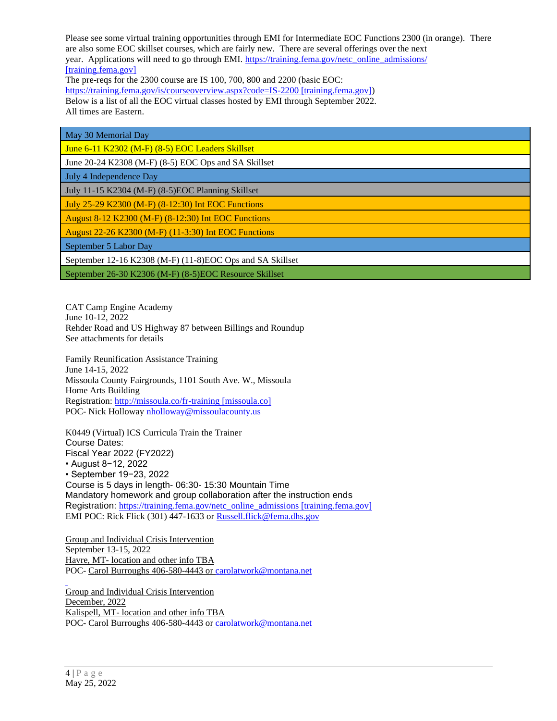Please see some virtual training opportunities through EMI for Intermediate EOC Functions 2300 (in orange). There are also some EOC skillset courses, which are fairly new. There are several offerings over the next year. Applications will need to go through EMI. https://training.fema.gov/netc\_online\_admissions/ [\[training.fema.gov\]](https://urldefense.com/v3/__https:/training.fema.gov/netc_online_admissions/__;!!GaaboA!qEIxHAAGvcYwiGf6k5JhhRDB-d2CnZK3vRmdIRQ7wUBRTQjOMtVSqO55yWkt91Xc0rl-yK7H1b5UM1qIwLM$)

The pre-reqs for the 2300 course are IS 100, 700, 800 and 2200 (basic EOC: [https://training.fema.gov/is/courseoverview.aspx?code=IS-2200 \[training.fema.gov\]\)](https://urldefense.com/v3/__https:/training.fema.gov/is/courseoverview.aspx?code=IS-2200__;!!GaaboA!qEIxHAAGvcYwiGf6k5JhhRDB-d2CnZK3vRmdIRQ7wUBRTQjOMtVSqO55yWkt91Xc0rl-yK7H1b5UWGXdHvc$) Below is a list of all the EOC virtual classes hosted by EMI through September 2022. All times are Eastern.

| May 30 Memorial Day                                       |
|-----------------------------------------------------------|
| June 6-11 K2302 (M-F) (8-5) EOC Leaders Skillset          |
| June 20-24 K2308 (M-F) (8-5) EOC Ops and SA Skillset      |
| July 4 Independence Day                                   |
| July 11-15 K2304 (M-F) (8-5)EOC Planning Skillset         |
| July 25-29 K2300 (M-F) (8-12:30) Int EOC Functions        |
| August 8-12 K2300 (M-F) (8-12:30) Int EOC Functions       |
| August 22-26 K2300 (M-F) (11-3:30) Int EOC Functions      |
| September 5 Labor Day                                     |
| September 12-16 K2308 (M-F) (11-8)EOC Ops and SA Skillset |
| September 26-30 K2306 (M-F) (8-5)EOC Resource Skillset    |

CAT Camp Engine Academy June 10-12, 2022 Rehder Road and US Highway 87 between Billings and Roundup See attachments for details

Family Reunification Assistance Training June 14-15, 2022 Missoula County Fairgrounds, 1101 South Ave. W., Missoula Home Arts Building Registration: [http://missoula.co/fr-training \[missoula.co\]](https://urldefense.com/v3/__http:/missoula.co/fr-training__;!!GaaboA!qEIxHAAGvcYwiGf6k5JhhRDB-d2CnZK3vRmdIRQ7wUBRTQjOMtVSqO55yWkt91Xc0rl-yK7H1b5UbF-MMpo$) POC- Nick Holloway [nholloway@missoulacounty.us](mailto:nholloway@missoulacounty.us)

K0449 (Virtual) ICS Curricula Train the Trainer Course Dates: Fiscal Year 2022 (FY2022) • August 8−12, 2022 • September 19−23, 2022 Course is 5 days in length- 06:30- 15:30 Mountain Time Mandatory homework and group collaboration after the instruction ends Registration: [https://training.fema.gov/netc\\_online\\_admissions \[training.fema.gov\]](https://urldefense.com/v3/__https:/training.fema.gov/netc_online_admissions__;!!GaaboA!qEIxHAAGvcYwiGf6k5JhhRDB-d2CnZK3vRmdIRQ7wUBRTQjOMtVSqO55yWkt91Xc0rl-yK7H1b5UgeUTrMQ$) EMI POC: Rick Flick (301) 447-1633 or [Russell.flick@fema.dhs.gov](mailto:Russell.flick@fema.dhs.gov)

Group and Individual Crisis Intervention September 13-15, 2022 Havre, MT- location and other info TBA POC- Carol Burroughs 406-580-4443 o[r carolatwork@montana.net](mailto:carolatwork@montana.net)

Group and Individual Crisis Intervention December, 2022 Kalispell, MT- location and other info TBA POC- Carol Burroughs 406-580-4443 o[r carolatwork@montana.net](mailto:carolatwork@montana.net)